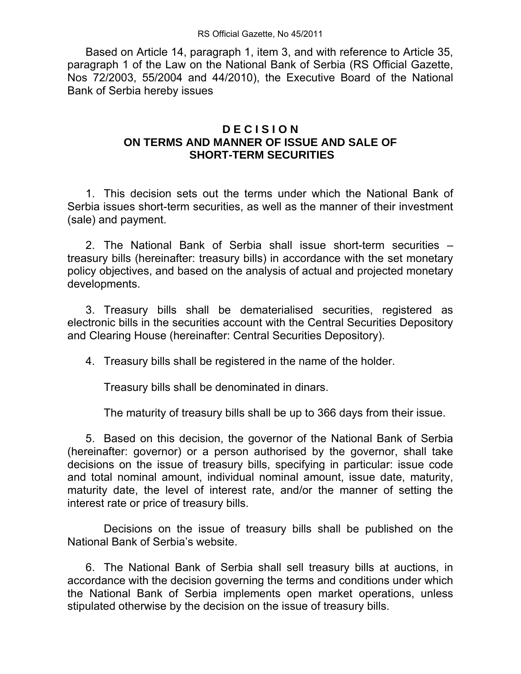Based on Article 14, paragraph 1, item 3, and with reference to Article 35, paragraph 1 of the Law on the National Bank of Serbia (RS Official Gazette, Nos 72/2003, 55/2004 and 44/2010), the Executive Board of the National Bank of Serbia hereby issues

## **D E C I S I O N ON TERMS AND MANNER OF ISSUE AND SALE OF SHORT-TERM SECURITIES**

 1. This decision sets out the terms under which the National Bank of Serbia issues short-term securities, as well as the manner of their investment (sale) and payment.

 2. The National Bank of Serbia shall issue short-term securities – treasury bills (hereinafter: treasury bills) in accordance with the set monetary policy objectives, and based on the analysis of actual and projected monetary developments.

 3. Treasury bills shall be dematerialised securities, registered as electronic bills in the securities account with the Central Securities Depository and Clearing House (hereinafter: Central Securities Depository).

4. Treasury bills shall be registered in the name of the holder.

Treasury bills shall be denominated in dinars.

The maturity of treasury bills shall be up to 366 days from their issue.

 5. Based on this decision, the governor of the National Bank of Serbia (hereinafter: governor) or a person authorised by the governor, shall take decisions on the issue of treasury bills, specifying in particular: issue code and total nominal amount, individual nominal amount, issue date, maturity, maturity date, the level of interest rate, and/or the manner of setting the interest rate or price of treasury bills.

 Decisions on the issue of treasury bills shall be published on the National Bank of Serbia's website.

 6. The National Bank of Serbia shall sell treasury bills at auctions, in accordance with the decision governing the terms and conditions under which the National Bank of Serbia implements open market operations, unless stipulated otherwise by the decision on the issue of treasury bills.